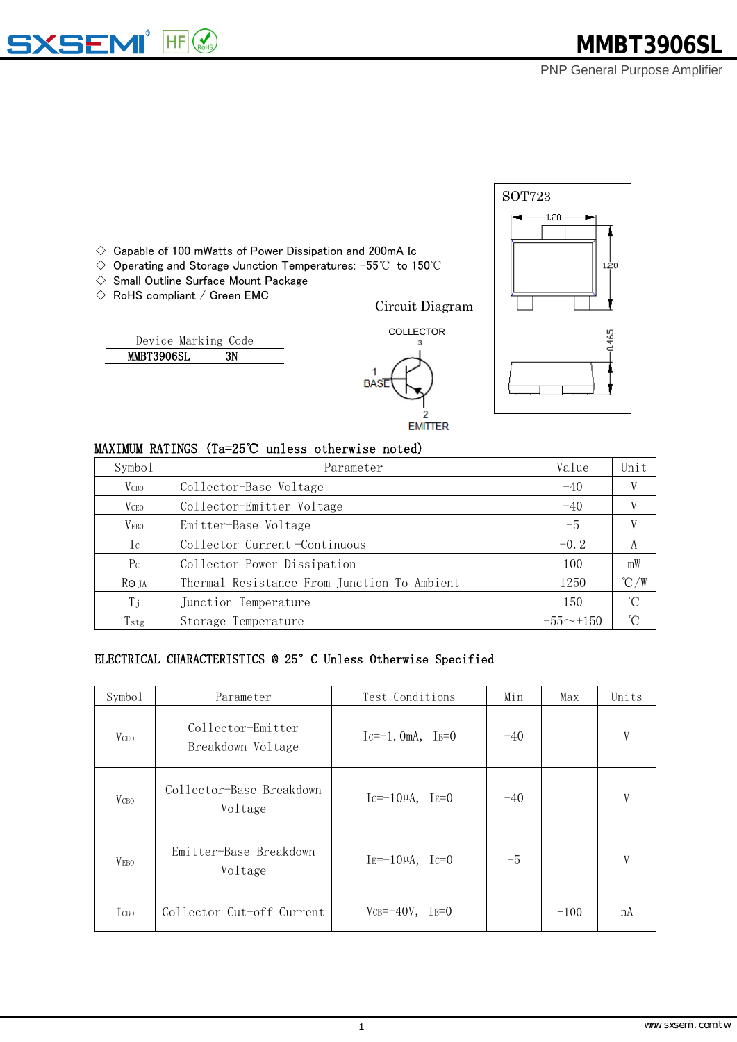# **MMBT3906SL**

PNP General Purpose Amplifier



 $\Diamond$  Capable of 100 mWatts of Power Dissipation and 200mA Ic

- ◇ Operating and Storage Junction Temperatures: -55℃ to 150℃
- $\Diamond$  Small Outline Surface Mount Package
- $\Diamond$  RoHS compliant / Green EMC

 $H = \bigotimes_{ROHS}$ 

**<SEMI** 

|                   | Device Marking Code |  |
|-------------------|---------------------|--|
| <b>MMBT3906SL</b> |                     |  |

**EMITTER** 

COLLECTOR

#### MAXIMUM RATINGS (Ta=25℃ unless otherwise noted)

| Symbo1                  | Parameter                                   | Value           | Unit            |
|-------------------------|---------------------------------------------|-----------------|-----------------|
| V <sub>CB0</sub>        | Collector-Base Voltage                      | $-40$           |                 |
| <b>V</b> <sub>CEO</sub> | Collector-Emitter Voltage                   | $-40$           |                 |
| <b>VEBO</b>             | Emitter-Base Voltage                        | $-5$            |                 |
| $I_{\mathcal{C}}$       | Collector Current-Continuous                | $-0.2$          | А               |
| P <sub>C</sub>          | Collector Power Dissipation                 | 100             | mW              |
| Ro ja                   | Thermal Resistance From Junction To Ambient | 1250            | $\degree$ C/W   |
| $T_{\rm j}$             | Junction Temperature                        | 150             | $\rm ^{\circ}C$ |
| Tstg                    | Storage Temperature                         | $-55 \sim +150$ | $\hat{C}$       |

**BASI** 

## ELECTRICAL CHARACTERISTICS @ 25°C Unless Otherwise Specified

| Symbol                  | Parameter                              | Test Conditions        | Min   | Max    | Units |
|-------------------------|----------------------------------------|------------------------|-------|--------|-------|
| <b>V</b> <sub>CEO</sub> | Collector-Emitter<br>Breakdown Voltage | $Ic=-1.0mA$ , $IB=0$   | $-40$ |        | V     |
| V <sub>CBO</sub>        | Collector-Base Breakdown<br>Voltage    | $Ic=-10\mu A$ , $IE=0$ | $-40$ |        | V     |
| <b>VEBO</b>             | Emitter-Base Breakdown<br>Voltage      | $IE=-10\mu A$ , $IC=0$ | $-5$  |        | V     |
| <b>Ісво</b>             | Collector Cut-off Current              | $VCB=-40V$ , $IE=0$    |       | $-100$ | nA    |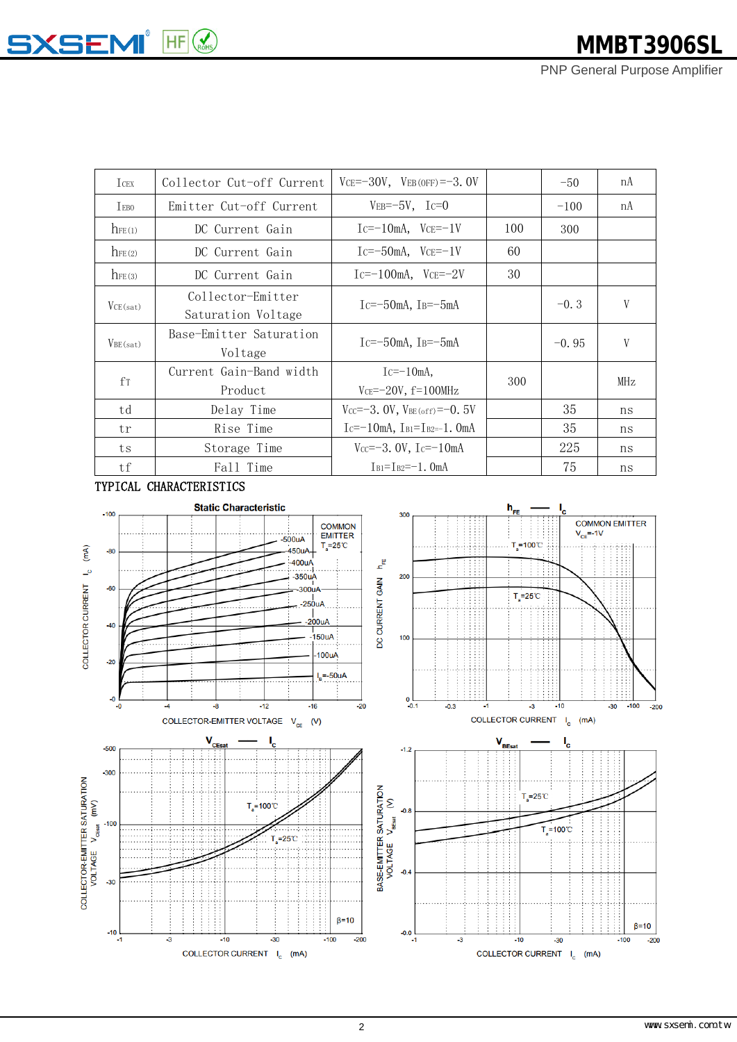## **SXSEMI**<sup>®</sup> HF E

PNP General Purpose Amplifier

| <b>I</b> CEX    | Collector Cut-off Current               | $VCE = -30V$ , $VEB(OFF) = -3.0V$         |     | $-50$   | nA  |
|-----------------|-----------------------------------------|-------------------------------------------|-----|---------|-----|
| <b>IEBO</b>     | Emitter Cut-off Current                 | $VEB = -5V$ , Ic=0                        |     | $-100$  | nA  |
| $\Lambda$ FE(1) | DC Current Gain                         | $Ic=-10mA$ , $VcE=-1V$                    | 100 | 300     |     |
| $h_{FE(2)}$     | DC Current Gain                         | $Ic=-50$ mA, $VcE=-1V$                    | 60  |         |     |
| $h_{FE(3)}$     | DC Current Gain                         | $Ic=-100mA$ , $VcE=-2V$                   | 30  |         |     |
| VCE(sat)        | Collector-Emitter<br>Saturation Voltage | $Ic=-50mA$ , $IB=-5mA$                    |     | $-0.3$  | V   |
| $V_{BE(sat)}$   | Base-Emitter Saturation<br>Voltage      | $Ic=-50$ mA, $IB=-5$ mA                   |     | $-0.95$ | V   |
| $f_{T}$         | Current Gain-Band width<br>Product      | $Ic=-10mA$ .<br>$VCE = -20V$ , $f=100MHz$ | 300 |         | MHz |
| td              | Delay Time                              | $V_{CC} = -3.0V$ , $V_{BE(off)} = -0.5V$  |     | 35      | ns  |
| tr              | Rise Time                               | $Ic=-10mA$ , $I_{B1}=I_{B2}=-1$ . OmA     |     | 35      | ns  |
| ts              | Storage Time                            | $V_{CC} = -3.0V$ , $I_C = -10mA$          |     | 225     | ns  |
| tf              | Fall Time                               | $I_{B1} = I_{B2} = -1$ , OmA              |     | 75      | ns  |

#### TYPICAL CHARACTERISTICS

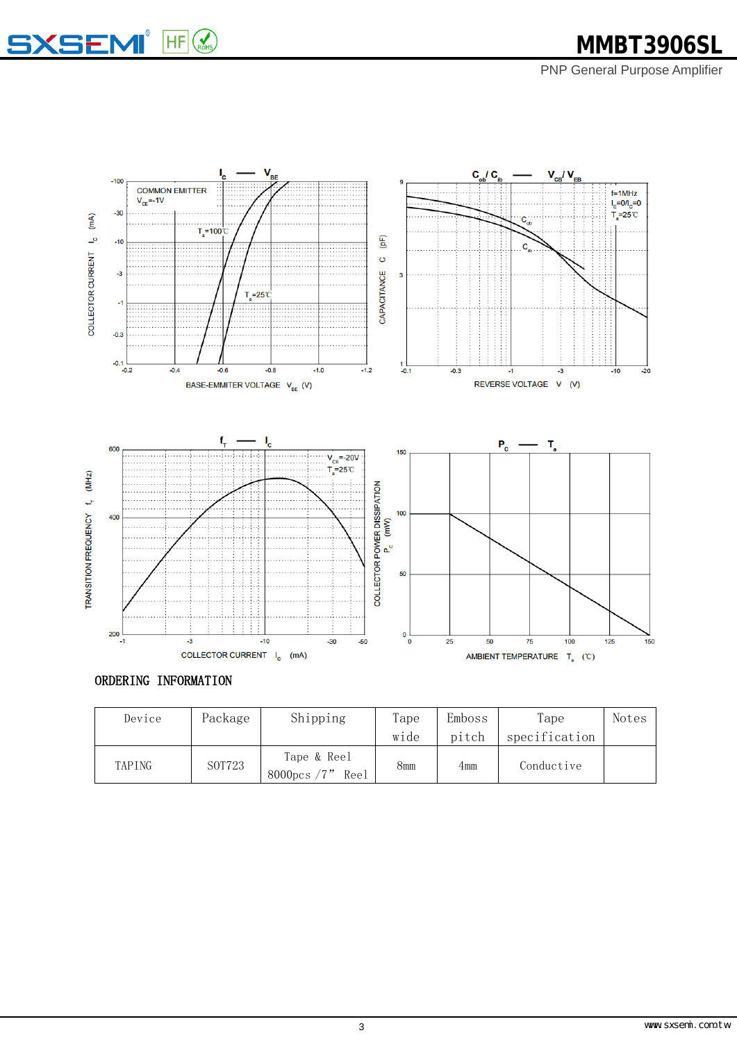



### ORDERING INFORMATION

| Device | Package | Shipping                             | Tape | Emboss | Tape          | Notes |
|--------|---------|--------------------------------------|------|--------|---------------|-------|
|        |         |                                      | wide | pitch  | specification |       |
| TAPING | S0T723  | Tape & Reel<br>8000pcs $/7"$<br>Ree1 | 8mm  | 4mm    | Conductive    |       |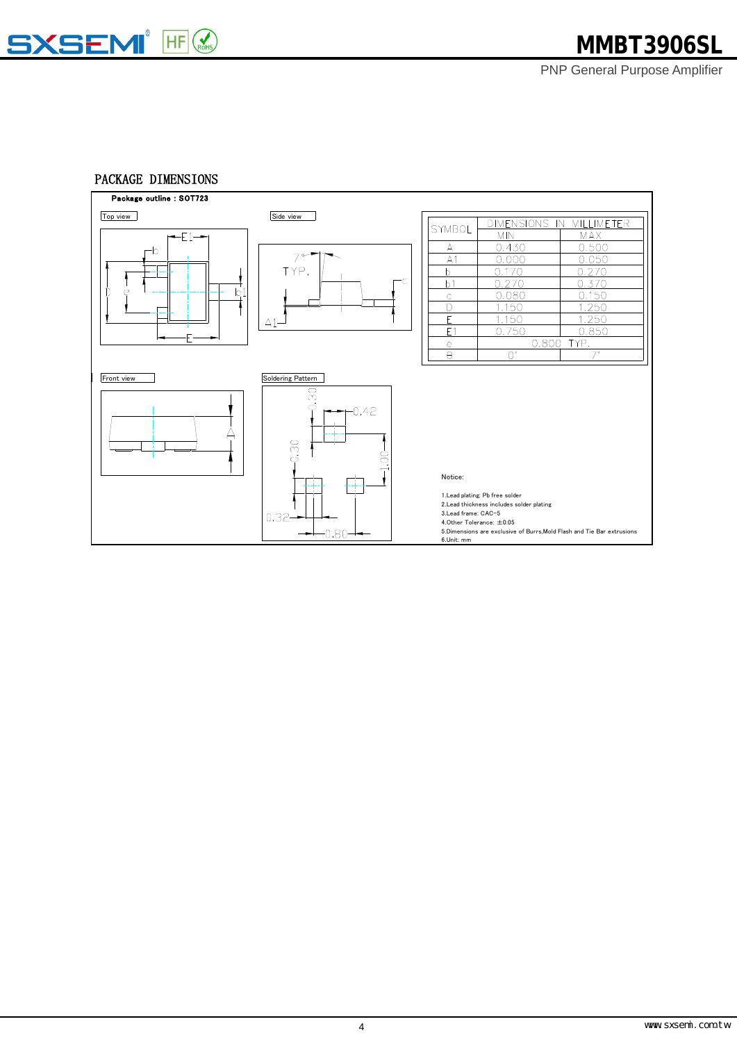

## PACKAGE DIMENSIONS